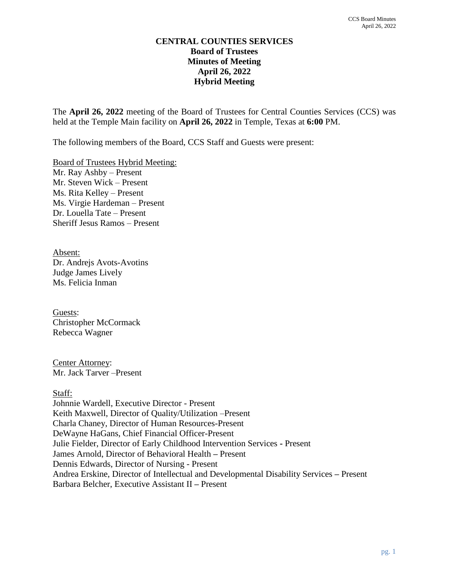#### **CENTRAL COUNTIES SERVICES Board of Trustees Minutes of Meeting April 26, 2022 Hybrid Meeting**

The **April 26, 2022** meeting of the Board of Trustees for Central Counties Services (CCS) was held at the Temple Main facility on **April 26, 2022** in Temple, Texas at **6:00** PM.

The following members of the Board, CCS Staff and Guests were present:

Board of Trustees Hybrid Meeting: Mr. Ray Ashby – Present Mr. Steven Wick – Present Ms. Rita Kelley – Present Ms. Virgie Hardeman – Present Dr. Louella Tate – Present Sheriff Jesus Ramos – Present

Absent: Dr. Andrejs Avots-Avotins Judge James Lively Ms. Felicia Inman

Guests: Christopher McCormack Rebecca Wagner

Center Attorney: Mr. Jack Tarver –Present

Staff:

Johnnie Wardell, Executive Director - Present Keith Maxwell, Director of Quality/Utilization –Present Charla Chaney, Director of Human Resources-Present DeWayne HaGans, Chief Financial Officer-Present Julie Fielder, Director of Early Childhood Intervention Services **-** Present James Arnold, Director of Behavioral Health **–** Present Dennis Edwards, Director of Nursing - Present Andrea Erskine, Director of Intellectual and Developmental Disability Services **–** Present Barbara Belcher, Executive Assistant II **–** Present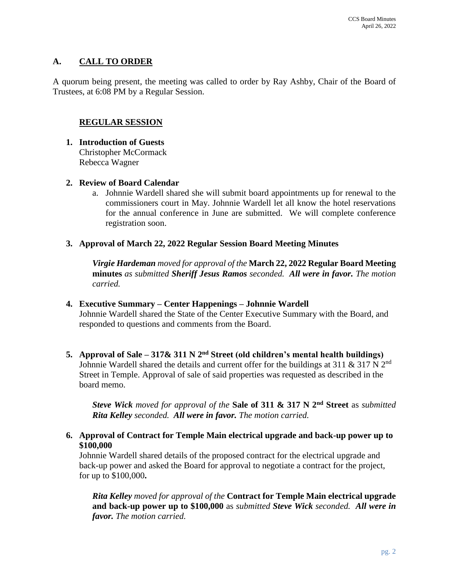# **A. CALL TO ORDER**

A quorum being present, the meeting was called to order by Ray Ashby, Chair of the Board of Trustees, at 6:08 PM by a Regular Session.

#### **REGULAR SESSION**

- **1. Introduction of Guests** Christopher McCormack Rebecca Wagner
- **2. Review of Board Calendar**
	- a. Johnnie Wardell shared she will submit board appointments up for renewal to the commissioners court in May. Johnnie Wardell let all know the hotel reservations for the annual conference in June are submitted. We will complete conference registration soon.
- **3. Approval of March 22, 2022 Regular Session Board Meeting Minutes**

*Virgie Hardeman moved for approval of the* **March 22, 2022 Regular Board Meeting minutes** *as submitted Sheriff Jesus Ramos seconded. All were in favor. The motion carried.*

**4. Executive Summary – Center Happenings – Johnnie Wardell**

Johnnie Wardell shared the State of the Center Executive Summary with the Board, and responded to questions and comments from the Board.

**5. Approval of Sale – 317& 311 N 2nd Street (old children's mental health buildings)** Johnnie Wardell shared the details and current offer for the buildings at 311  $\&$  317 N 2<sup>nd</sup> Street in Temple. Approval of sale of said properties was requested as described in the board memo.

*Steve Wick moved for approval of the* **Sale of 311 & 317 N 2nd Street** as *submitted Rita Kelley seconded. All were in favor. The motion carried.*

**6. Approval of Contract for Temple Main electrical upgrade and back-up power up to \$100,000**

Johnnie Wardell shared details of the proposed contract for the electrical upgrade and back-up power and asked the Board for approval to negotiate a contract for the project, for up to \$100,000**.** 

*Rita Kelley moved for approval of the* **Contract for Temple Main electrical upgrade and back-up power up to \$100,000** as *submitted Steve Wick seconded. All were in favor. The motion carried.*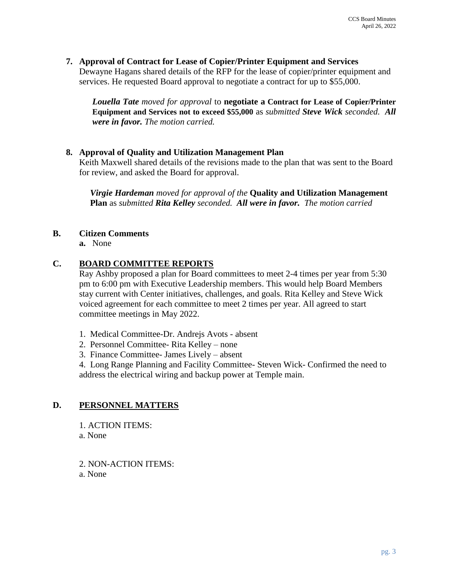**7. Approval of Contract for Lease of Copier/Printer Equipment and Services** Dewayne Hagans shared details of the RFP for the lease of copier/printer equipment and services. He requested Board approval to negotiate a contract for up to \$55,000.

*Louella Tate moved for approval* to **negotiate a Contract for Lease of Copier/Printer Equipment and Services not to exceed \$55,000** as *submitted Steve Wick seconded. All were in favor. The motion carried.*

#### **8. Approval of Quality and Utilization Management Plan**

Keith Maxwell shared details of the revisions made to the plan that was sent to the Board for review, and asked the Board for approval.

*Virgie Hardeman moved for approval of the* **Quality and Utilization Management Plan** as *submitted Rita Kelley seconded. All were in favor. The motion carried*

#### **B. Citizen Comments**

**a.** None

#### **C. BOARD COMMITTEE REPORTS**

Ray Ashby proposed a plan for Board committees to meet 2-4 times per year from 5:30 pm to 6:00 pm with Executive Leadership members. This would help Board Members stay current with Center initiatives, challenges, and goals. Rita Kelley and Steve Wick voiced agreement for each committee to meet 2 times per year. All agreed to start committee meetings in May 2022.

- 1. Medical Committee-Dr. Andrejs Avots absent
- 2. Personnel Committee- Rita Kelley none
- 3. Finance Committee- James Lively absent

4. Long Range Planning and Facility Committee- Steven Wick- Confirmed the need to address the electrical wiring and backup power at Temple main.

#### **D. PERSONNEL MATTERS**

1. ACTION ITEMS:

a. None

2. NON-ACTION ITEMS: a. None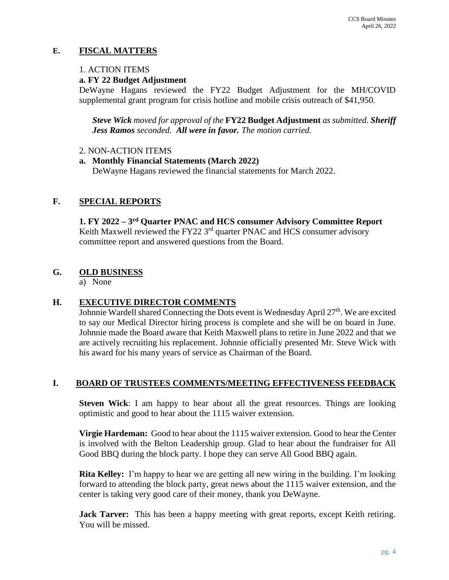## **E. FISCAL MATTERS**

#### 1. ACTION ITEMS

#### **a. FY 22 Budget Adjustment**

DeWayne Hagans reviewed the FY22 Budget Adjustment for the MH/COVID supplemental grant program for crisis hotline and mobile crisis outreach of \$41,950.

*Steve Wick moved for approval of the* **FY22 Budget Adjustment** *as submitted. Sheriff Jess Ramos seconded. All were in favor. The motion carried.*

#### 2. NON-ACTION ITEMS

**a. Monthly Financial Statements (March 2022)** DeWayne Hagans reviewed the financial statements for March 2022.

# **F. SPECIAL REPORTS**

**1. FY 2022 – 3 rd Quarter PNAC and HCS consumer Advisory Committee Report** Keith Maxwell reviewed the FY22  $3<sup>rd</sup>$  quarter PNAC and HCS consumer advisory committee report and answered questions from the Board.

## **G. OLD BUSINESS**

a) None

## **H. EXECUTIVE DIRECTOR COMMENTS**

Johnnie Wardell shared Connecting the Dots event is Wednesday April  $27<sup>th</sup>$ . We are excited to say our Medical Director hiring process is complete and she will be on board in June. Johnnie made the Board aware that Keith Maxwell plans to retire in June 2022 and that we are actively recruiting his replacement. Johnnie officially presented Mr. Steve Wick with his award for his many years of service as Chairman of the Board.

## **I. BOARD OF TRUSTEES COMMENTS/MEETING EFFECTIVENESS FEEDBACK**

**Steven Wick**: I am happy to hear about all the great resources. Things are looking optimistic and good to hear about the 1115 waiver extension.

**Virgie Hardeman:** Good to hear about the 1115 waiver extension. Good to hear the Center is involved with the Belton Leadership group. Glad to hear about the fundraiser for All Good BBQ during the block party. I hope they can serve All Good BBQ again.

**Rita Kelley:** I'm happy to hear we are getting all new wiring in the building. I'm looking forward to attending the block party, great news about the 1115 waiver extension, and the center is taking very good care of their money, thank you DeWayne.

**Jack Tarver:** This has been a happy meeting with great reports, except Keith retiring. You will be missed.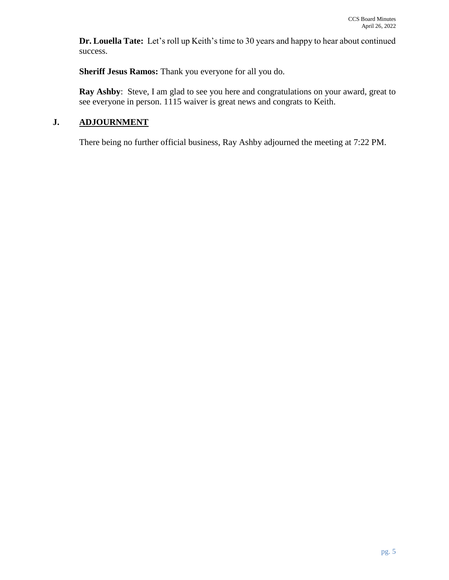**Dr. Louella Tate:** Let's roll up Keith's time to 30 years and happy to hear about continued success.

**Sheriff Jesus Ramos:** Thank you everyone for all you do.

**Ray Ashby**: Steve, I am glad to see you here and congratulations on your award, great to see everyone in person. 1115 waiver is great news and congrats to Keith.

# **J. ADJOURNMENT**

There being no further official business, Ray Ashby adjourned the meeting at 7:22 PM.